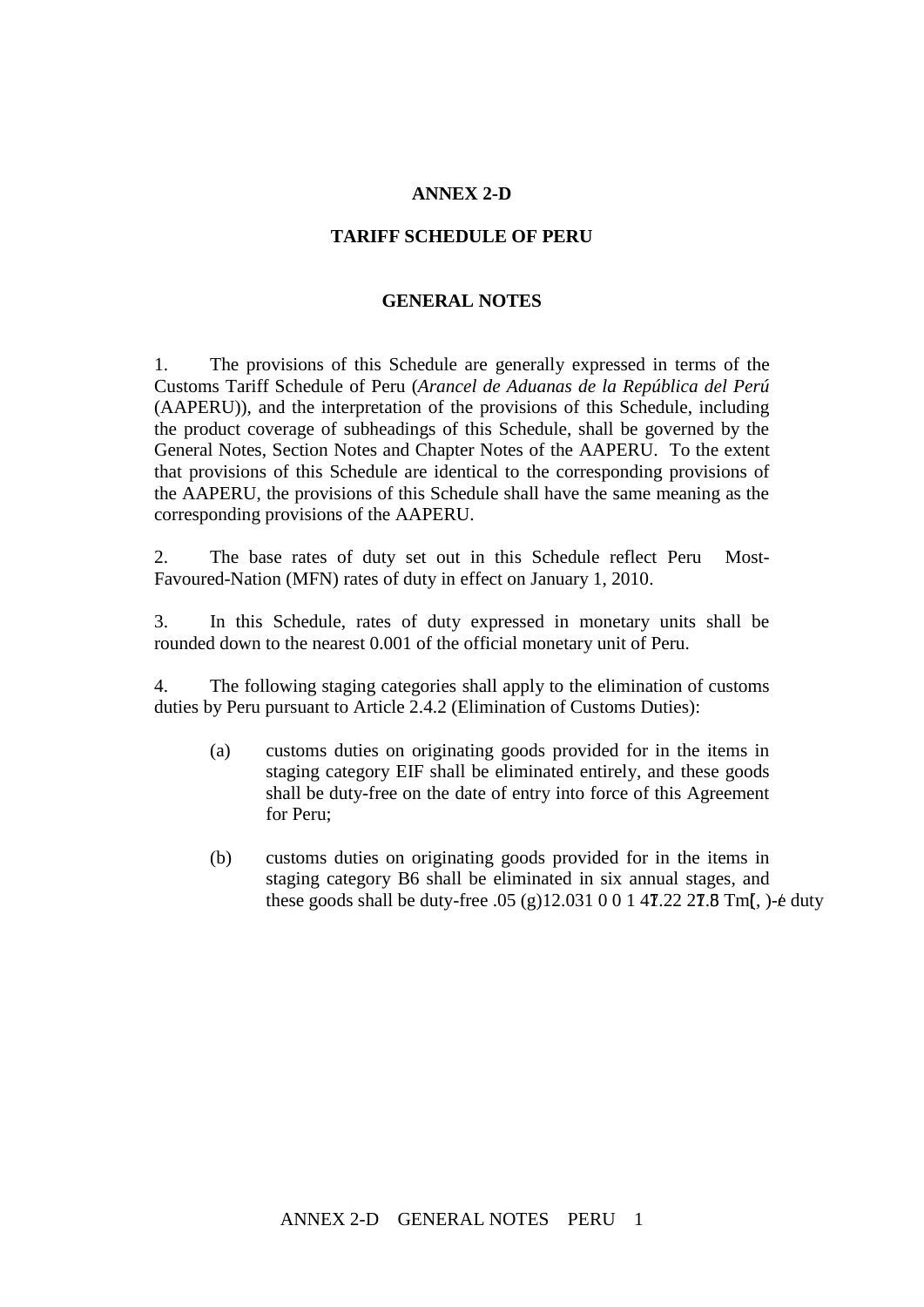## **ANNEX 2-D**

## **TARIFF SCHEDULE OF PERU**

## **GENERAL NOTES**

1. The provisions of this Schedule are generally expressed in terms of the Customs Tariff Schedule of Peru (*Arancel de Aduanas de la República del Perú* (AAPERU)), and the interpretation of the provisions of this Schedule, including the product coverage of subheadings of this Schedule, shall be governed by the General Notes, Section Notes and Chapter Notes of the AAPERU. To the extent that provisions of this Schedule are identical to the corresponding provisions of the AAPERU, the provisions of this Schedule shall have the same meaning as the corresponding provisions of the AAPERU.

2. The base rates of duty set out in this Schedule reflect Peru Most-Favoured-Nation (MFN) rates of duty in effect on January 1, 2010.

3. In this Schedule, rates of duty expressed in monetary units shall be rounded down to the nearest 0.001 of the official monetary unit of Peru.

4. The following staging categories shall apply to the elimination of customs duties by Peru pursuant to Article 2.4.2 (Elimination of Customs Duties): 2

- (a) customs duties on originating goods provided for in the items in staging category EIF shall be eliminated entirely, and these goods shall be duty-free on the date of entry into force of this Agreement for Peru;
- (b) customs duties on originating goods provided for in the items in staging category B6 shall be eliminated in six annual stages, and these goods shall be duty-free  $.05$  (g) $12.031$  0 0 1 47.22 27.8 Tm(, )- $\acute{e}$  duty

, y